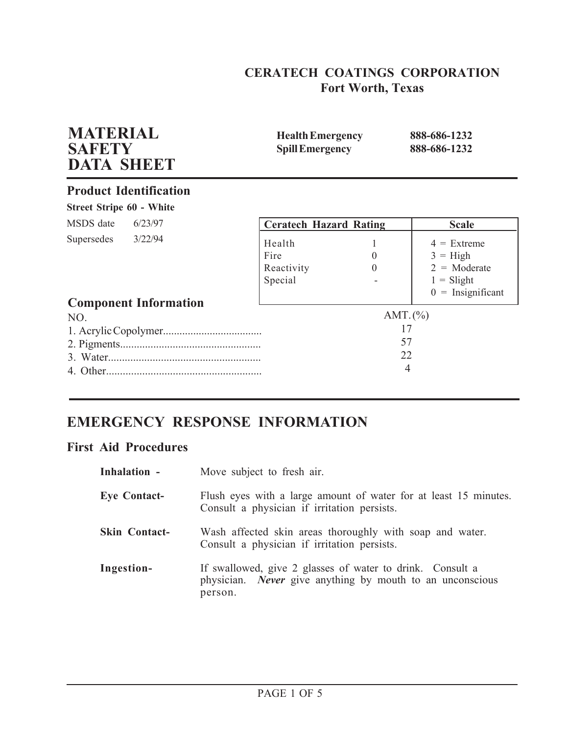# **CERATECH COATINGS CORPORATION Fort Worth, Texas**

| <b>MATERIAL</b><br><b>SAFETY</b><br><b>DATA SHEET</b> | <b>Health Emergency</b><br><b>Spill Emergency</b> |                                                  | 888-686-1232<br>888-686-1232                                                                 |
|-------------------------------------------------------|---------------------------------------------------|--------------------------------------------------|----------------------------------------------------------------------------------------------|
| <b>Product Identification</b>                         |                                                   |                                                  |                                                                                              |
| <b>Street Stripe 60 - White</b>                       |                                                   |                                                  |                                                                                              |
| MSDS date<br>6/23/97                                  | <b>Ceratech Hazard Rating</b>                     |                                                  | <b>Scale</b>                                                                                 |
| 3/22/94<br>Supersedes                                 | Health<br>Fire<br>Reactivity<br>Special           | $\overline{0}$<br>$\Omega$                       | $4 =$ Extreme<br>$3 = High$<br>$2 = \text{Moderate}$<br>$1 = S$ light<br>$0 =$ Insignificant |
| <b>Component Information</b>                          |                                                   |                                                  |                                                                                              |
| NO.<br>4. Other.                                      |                                                   | AMT. $(\% )$<br>17<br>57<br>22<br>$\overline{4}$ |                                                                                              |

# **EMERGENCY RESPONSE INFORMATION**

# **First Aid Procedures**

| Inhalation -         | Move subject to fresh air.                                                                                                               |
|----------------------|------------------------------------------------------------------------------------------------------------------------------------------|
| <b>Eye Contact-</b>  | Flush eyes with a large amount of water for at least 15 minutes.<br>Consult a physician if irritation persists.                          |
| <b>Skin Contact-</b> | Wash affected skin areas thoroughly with soap and water.<br>Consult a physician if irritation persists.                                  |
| Ingestion-           | If swallowed, give 2 glasses of water to drink. Consult a<br>physician. <i>Never</i> give anything by mouth to an unconscious<br>person. |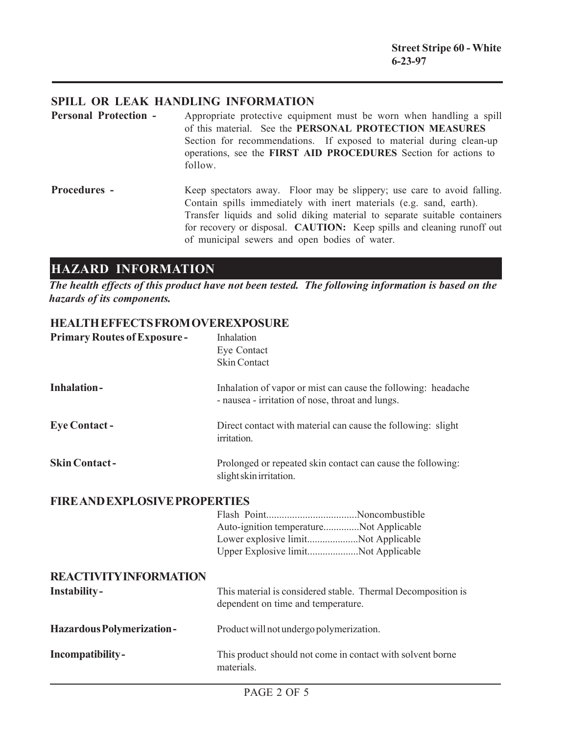### **SPILL OR LEAK HANDLING INFORMATION**

- **Personal Protection -** Appropriate protective equipment must be worn when handling a spill of this material. See the **PERSONAL PROTECTION MEASURES** Section for recommendations. If exposed to material during clean-up operations, see the **FIRST AID PROCEDURES** Section for actions to follow.
- **Procedures -** Keep spectators away. Floor may be slippery; use care to avoid falling. Contain spills immediately with inert materials (e.g. sand, earth). Transfer liquids and solid diking material to separate suitable containers for recovery or disposal. **CAUTION:** Keep spills and cleaning runoff out of municipal sewers and open bodies of water.

# **HAZARD INFORMATION**

*The health effects of this product have not been tested. The following information is based on the hazards of its components.*

### **HEALTH EFFECTS FROM OVEREXPOSURE**

| <b>Primary Routes of Exposure-</b>   | Inhalation<br>Eye Contact<br><b>Skin Contact</b>                                                                      |
|--------------------------------------|-----------------------------------------------------------------------------------------------------------------------|
| <b>Inhalation-</b>                   | Inhalation of vapor or mist can cause the following: headache<br>- nausea - irritation of nose, throat and lungs.     |
| <b>Eye Contact -</b>                 | Direct contact with material can cause the following: slight<br>irritation.                                           |
| <b>Skin Contact-</b>                 | Prolonged or repeated skin contact can cause the following:<br>slight skin irritation.                                |
| <b>FIRE AND EXPLOSIVE PROPERTIES</b> |                                                                                                                       |
|                                      | Auto-ignition temperatureNot Applicable<br>Lower explosive limitNot Applicable<br>Upper Explosive limitNot Applicable |
| <b>REACTIVITY INFORMATION</b>        |                                                                                                                       |
| <b>Instability-</b>                  | This material is considered stable. Thermal Decomposition is<br>dependent on time and temperature.                    |
| <b>Hazardous Polymerization-</b>     | Product will not undergo polymerization.                                                                              |
| Incompatibility-                     | This product should not come in contact with solvent borne<br>materials.                                              |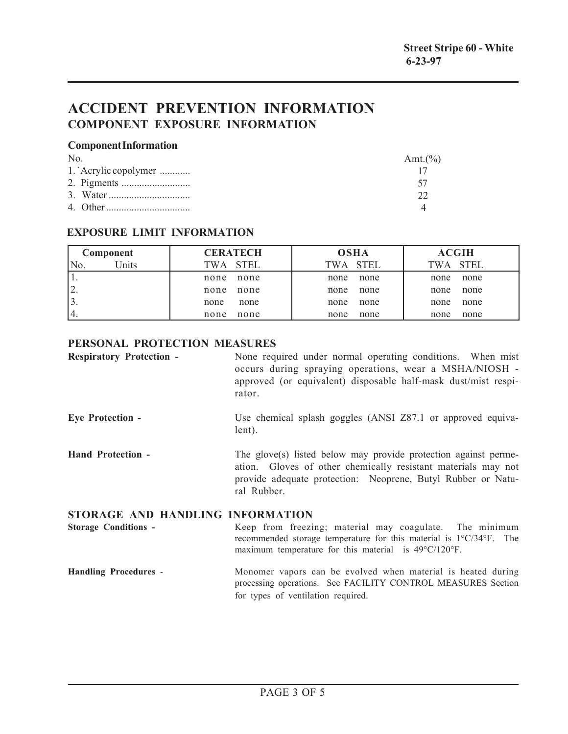# **ACCIDENT PREVENTION INFORMATION COMPONENT EXPOSURE INFORMATION**

#### **Component Information**

| $N_{0}$              | Amt. $(\%)$ |
|----------------------|-------------|
| 1. Acrylic copolymer |             |
|                      |             |
|                      |             |
|                      |             |

### **EXPOSURE LIMIT INFORMATION**

|                 | Component | <b>CERATECH</b> | <b>OSHA</b>  | <b>ACGIH</b> |
|-----------------|-----------|-----------------|--------------|--------------|
| No.             | Units     | TWA STEL        | TWA STEL     | TWA STEL     |
|                 |           | none<br>none    | none<br>none | none<br>none |
| ∠.              |           | none<br>none    | none<br>none | none<br>none |
| ັບ.             |           | none<br>none    | none<br>none | none<br>none |
| <sup>1</sup> 4. |           | none<br>none    | none<br>none | none<br>none |

### **PERSONAL PROTECTION MEASURES**

| <b>Respiratory Protection -</b>  | None required under normal operating conditions. When mist<br>occurs during spraying operations, wear a MSHA/NIOSH -<br>approved (or equivalent) disposable half-mask dust/mist respi-<br>rator.                |
|----------------------------------|-----------------------------------------------------------------------------------------------------------------------------------------------------------------------------------------------------------------|
| <b>Eye Protection -</b>          | Use chemical splash goggles (ANSI Z87.1 or approved equiva-<br>lent).                                                                                                                                           |
| <b>Hand Protection -</b>         | The glove(s) listed below may provide protection against perme-<br>ation. Gloves of other chemically resistant materials may not<br>provide adequate protection: Neoprene, Butyl Rubber or Natu-<br>ral Rubber. |
| STORAGE AND HANDLING INFORMATION |                                                                                                                                                                                                                 |

**Storage Conditions -** Keep from freezing; material may coagulate. The minimum recommended storage temperature for this material is 1°C/34°F. The maximum temperature for this material is 49°C/120°F.

#### **Handling Procedures** - Monomer vapors can be evolved when material is heated during processing operations. See FACILITY CONTROL MEASURES Section for types of ventilation required.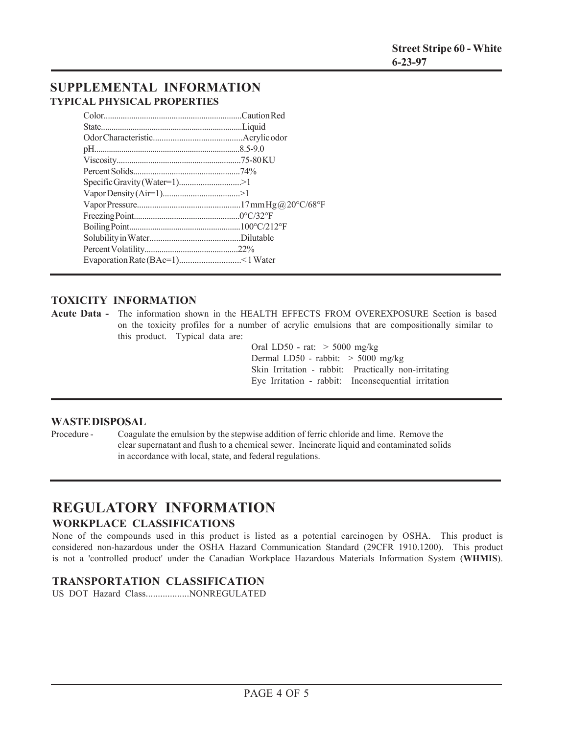## **SUPPLEMENTAL INFORMATION TYPICAL PHYSICAL PROPERTIES**

### **TOXICITY INFORMATION**

**Acute Data -** The information shown in the HEALTH EFFECTS FROM OVEREXPOSURE Section is based on the toxicity profiles for a number of acrylic emulsions that are compositionally similar to this product. Typical data are:

> Oral LD50 - rat: > 5000 mg/kg Dermal LD50 - rabbit: > 5000 mg/kg Skin Irritation - rabbit: Practically non-irritating Eye Irritation - rabbit: Inconsequential irritation

#### **WASTE DISPOSAL**

Procedure - Coagulate the emulsion by the stepwise addition of ferric chloride and lime. Remove the clear supernatant and flush to a chemical sewer. Incinerate liquid and contaminated solids in accordance with local, state, and federal regulations.

## **REGULATORY INFORMATION WORKPLACE CLASSIFICATIONS**

None of the compounds used in this product is listed as a potential carcinogen by OSHA. This product is considered non-hazardous under the OSHA Hazard Communication Standard (29CFR 1910.1200). This product is not a 'controlled product' under the Canadian Workplace Hazardous Materials Information System (**WHMIS**).

### **TRANSPORTATION CLASSIFICATION**

US DOT Hazard Class..................NONREGULATED